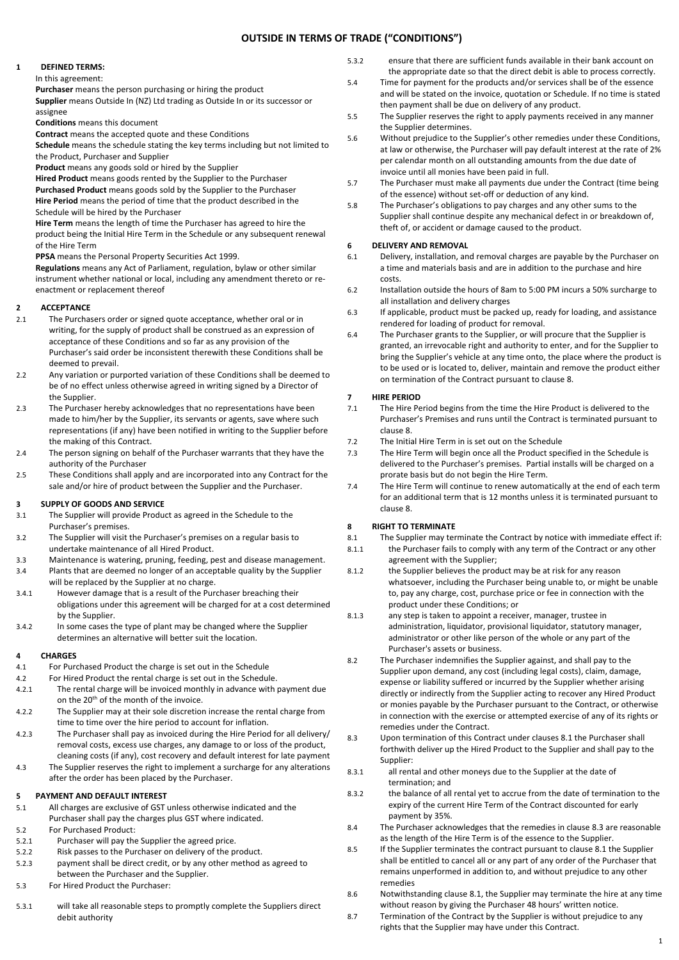## **OUTSIDE IN TERMS OF TRADE ("CONDITIONS")**

### **1 DEFINED TERMS:**

In this agreement:

**Purchaser** means the person purchasing or hiring the product

**Supplier** means Outside In (NZ) Ltd trading as Outside In or its successor or assignee

**Conditions** means this document

**Contract** means the accepted quote and these Conditions

**Schedule** means the schedule stating the key terms including but not limited to the Product, Purchaser and Supplier

**Product** means any goods sold or hired by the Supplier

**Hired Product** means goods rented by the Supplier to the Purchaser **Purchased Product** means goods sold by the Supplier to the Purchaser **Hire Period** means the period of time that the product described in the Schedule will be hired by the Purchaser

**Hire Term** means the length of time the Purchaser has agreed to hire the product being the Initial Hire Term in the Schedule or any subsequent renewal of the Hire Term

**PPSA** means the Personal Property Securities Act 1999.

**Regulations** means any Act of Parliament, regulation, bylaw or other similar instrument whether national or local, including any amendment thereto or reenactment or replacement thereof

#### **2 ACCEPTANCE**

- 2.1 The Purchasers order or signed quote acceptance, whether oral or in writing, for the supply of product shall be construed as an expression of acceptance of these Conditions and so far as any provision of the Purchaser's said order be inconsistent therewith these Conditions shall be deemed to prevail.
- 2.2 Any variation or purported variation of these Conditions shall be deemed to be of no effect unless otherwise agreed in writing signed by a Director of the Supplier
- 2.3 The Purchaser hereby acknowledges that no representations have been made to him/her by the Supplier, its servants or agents, save where such representations (if any) have been notified in writing to the Supplier before the making of this Contract.
- 2.4 The person signing on behalf of the Purchaser warrants that they have the authority of the Purchaser
- 2.5 These Conditions shall apply and are incorporated into any Contract for the sale and/or hire of product between the Supplier and the Purchaser.

# <span id="page-0-3"></span>**3 SUPPLY OF GOODS AND SERVICE**<br>**3.1** The Supplier will provide Produ

- The Supplier will provide Product as agreed in the Schedule to the Purchaser's premises.
- 3.2 The Supplier will visit the Purchaser's premises on a regular basis to undertake maintenance of all Hired Product.
- 3.3 Maintenance is watering, pruning, feeding, pest and disease management.
- 3.4 Plants that are deemed no longer of an acceptable quality by the Supplier will be replaced by the Supplier at no charge.
- 3.4.1 However damage that is a result of the Purchaser breaching their obligations under this agreement will be charged for at a cost determined by the Supplier.
- 3.4.2 In some cases the type of plant may be changed where the Supplier determines an alternative will better suit the location.

#### **4 CHARGES**

- 4.1 For Purchased Product the charge is set out in the Schedule
- 4.2 For Hired Product the rental charge is set out in the Schedule.
- 4.2.1 The rental charge will be invoiced monthly in advance with payment due on the 20<sup>th</sup> of the month of the invoice.
- 4.2.2 The Supplier may at their sole discretion increase the rental charge from time to time over the hire period to account for inflation.
- 4.2.3 The Purchaser shall pay as invoiced during the Hire Period for all delivery/ removal costs, excess use charges, any damage to or loss of the product, cleaning costs (if any), cost recovery and default interest for late payment
- 4.3 The Supplier reserves the right to implement a surcharge for any alterations after the order has been placed by the Purchaser.

## **5 PAYMENT AND DEFAULT INTEREST**

- 5.1 All charges are exclusive of GST unless otherwise indicated and the Purchaser shall pay the charges plus GST where indicated.
- 5.2 For Purchased Product:
- 5.2.1 Purchaser will pay the Supplier the agreed price.
- 5.2.2 Risk passes to the Purchaser on delivery of the product.
- 5.2.3 payment shall be direct credit, or by any other method as agreed to between the Purchaser and the Supplier.
- 5.3 For Hired Product the Purchaser:
- 5.3.1 will take all reasonable steps to promptly complete the Suppliers direct debit authority
- 5.3.2 ensure that there are sufficient funds available in their bank account on the appropriate date so that the direct debit is able to process correctly.
- 5.4 Time for payment for the products and/or services shall be of the essence and will be stated on the invoice, quotation or Schedule. If no time is stated then payment shall be due on delivery of any product.
- 5.5 The Supplier reserves the right to apply payments received in any manner the Supplier determines.
- 5.6 Without prejudice to the Supplier's other remedies under these Conditions, at law or otherwise, the Purchaser will pay default interest at the rate of 2% per calendar month on all outstanding amounts from the due date of invoice until all monies have been paid in full.
- 5.7 The Purchaser must make all payments due under the Contract (time being of the essence) without set-off or deduction of any kind.
- 5.8 The Purchaser's obligations to pay charges and any other sums to the Supplier shall continue despite any mechanical defect in or breakdown of, theft of, or accident or damage caused to the product.

## **6 DELIVERY AND REMOVAL**

- 6.1 Delivery, installation, and removal charges are payable by the Purchaser on a time and materials basis and are in addition to the purchase and hire costs.
- 6.2 Installation outside the hours of 8am to 5:00 PM incurs a 50% surcharge to all installation and delivery charges
- 6.3 If applicable, product must be packed up, ready for loading, and assistance rendered for loading of product for removal.
- 6.4 The Purchaser grants to the Supplier, or will procure that the Supplier is granted, an irrevocable right and authority to enter, and for the Supplier to bring the Supplier's vehicle at any time onto, the place where the product is to be used or is located to, deliver, maintain and remove the product either on termination of the Contract pursuant to clause [8.](#page-0-0)

#### **7 HIRE PERIOD**

- 7.1 The Hire Period begins from the time the Hire Product is delivered to the Purchaser's Premises and runs until the Contract is terminated pursuant to clause [8.](#page-0-0)
- 7.2 The Initial Hire Term in is set out on the Schedule
- 7.3 The Hire Term will begin once all the Product specified in the Schedule is delivered to the Purchaser's premises. Partial installs will be charged on a prorate basis but do not begin the Hire Term.
- 7.4 The Hire Term will continue to renew automatically at the end of each term for an additional term that is 12 months unless it is terminated pursuant to clause 8.

## <span id="page-0-0"></span>**8 RIGHT TO TERMINATE**

- <span id="page-0-1"></span>8.1 The Supplier may terminate the Contract by notice with immediate effect if: 8.1.1 the Purchaser fails to comply with any term of the Contract or any other
- agreement with the Supplier;
- 8.1.2 the Supplier believes the product may be at risk for any reason whatsoever, including the Purchaser being unable to, or might be unable to, pay any charge, cost, purchase price or fee in connection with the product under these Conditions; or
- 8.1.3 any step is taken to appoint a receiver, manager, trustee in administration, liquidator, provisional liquidator, statutory manager, administrator or other like person of the whole or any part of the Purchaser's assets or business.
- 8.2 The Purchaser indemnifies the Supplier against, and shall pay to the Supplier upon demand, any cost (including legal costs), claim, damage, expense or liability suffered or incurred by the Supplier whether arising directly or indirectly from the Supplier acting to recover any Hired Product or monies payable by the Purchaser pursuant to the Contract, or otherwise in connection with the exercise or attempted exercise of any of its rights or remedies under the Contract.
- <span id="page-0-2"></span>8.3 Upon termination of this Contract under clause[s 8.1](#page-0-1) the Purchaser shall forthwith deliver up the Hired Product to the Supplier and shall pay to the Supplier:
- 8.3.1 all rental and other moneys due to the Supplier at the date of termination; and
- 8.3.2 the balance of all rental yet to accrue from the date of termination to the expiry of the current Hire Term of the Contract discounted for early payment by 35%.
- 8.4 The Purchaser acknowledges that the remedies in claus[e 8.3](#page-0-2) are reasonable as the length of the Hire Term is of the essence to the Supplier.
- 8.5 If the Supplier terminates the contract pursuant to clause [8.1](#page-0-1) the Supplier shall be entitled to cancel all or any part of any order of the Purchaser that remains unperformed in addition to, and without prejudice to any other remedies
- 8.6 Notwithstanding claus[e 8.1,](#page-0-1) the Supplier may terminate the hire at any time without reason by giving the Purchaser 48 hours' written notice.
- 8.7 Termination of the Contract by the Supplier is without prejudice to any rights that the Supplier may have under this Contract.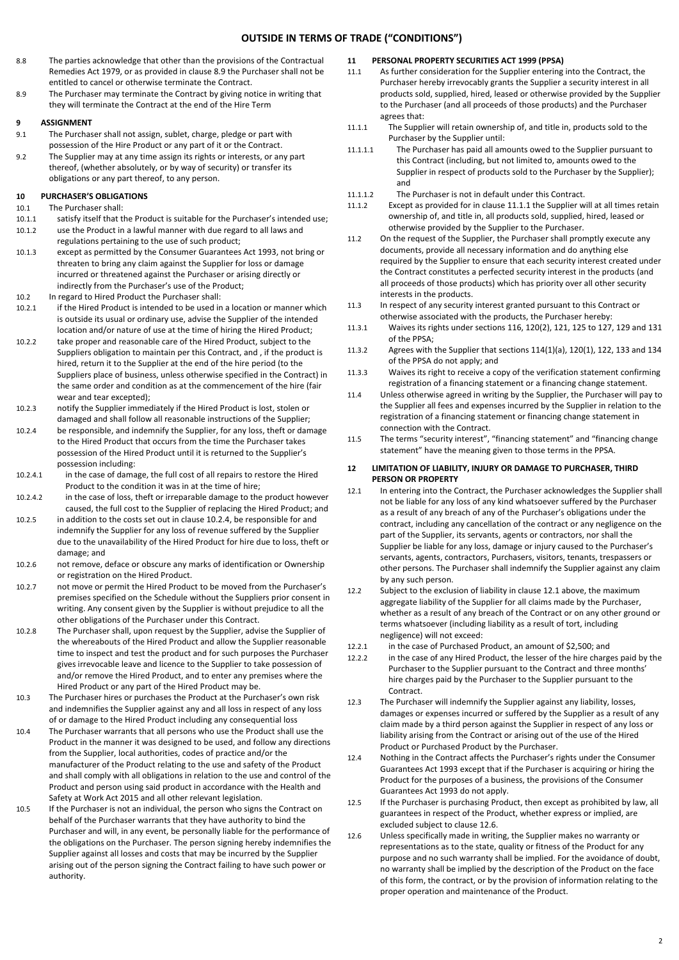## **OUTSIDE IN TERMS OF TRADE ("CONDITIONS")**

- 8.8 The parties acknowledge that other than the provisions of the Contractual Remedies Act 1979, or as provided in claus[e 8.9](#page-1-0) the Purchaser shall not be entitled to cancel or otherwise terminate the Contract.
- <span id="page-1-0"></span>8.9 The Purchaser may terminate the Contract by giving notice in writing that they will terminate the Contract at the end of the Hire Term

#### **9 ASSIGNMENT**

- 9.1 The Purchaser shall not assign, sublet, charge, pledge or part with possession of the Hire Product or any part of it or the Contract.
- 9.2 The Supplier may at any time assign its rights or interests, or any part thereof, (whether absolutely, or by way of security) or transfer its obligations or any part thereof, to any person.

#### **10 PURCHASER'S OBLIGATIONS**

- 10.1 The Purchaser shall:
- 10.1.1 satisfy itself that the Product is suitable for the Purchaser's intended use;
- 10.1.2 use the Product in a lawful manner with due regard to all laws and regulations pertaining to the use of such product;
- 10.1.3 except as permitted by the Consumer Guarantees Act 1993, not bring or threaten to bring any claim against the Supplier for loss or damage incurred or threatened against the Purchaser or arising directly or indirectly from the Purchaser's use of the Product;
- 10.2 In regard to Hired Product the Purchaser shall:
- 10.2.1 if the Hired Product is intended to be used in a location or manner which is outside its usual or ordinary use, advise the Supplier of the intended location and/or nature of use at the time of hiring the Hired Product;
- 10.2.2 take proper and reasonable care of the Hired Product, subject to the Suppliers obligation to maintain per this Contract, and , if the product is hired, return it to the Supplier at the end of the hire period (to the Suppliers place of business, unless otherwise specified in the Contract) in the same order and condition as at the commencement of the hire (fair wear and tear excepted);
- 10.2.3 notify the Supplier immediately if the Hired Product is lost, stolen or damaged and shall follow all reasonable instructions of the Supplier;
- <span id="page-1-1"></span>10.2.4 be responsible, and indemnify the Supplier, for any loss, theft or damage to the Hired Product that occurs from the time the Purchaser takes possession of the Hired Product until it is returned to the Supplier's possession including:
- 10.2.4.1 in the case of damage, the full cost of all repairs to restore the Hired Product to the condition it was in at the time of hire;
- 10.2.4.2 in the case of loss, theft or irreparable damage to the product however caused, the full cost to the Supplier of replacing the Hired Product; and
- 10.2.5 in addition to the costs set out in claus[e 10.2.4,](#page-1-1) be responsible for and indemnify the Supplier for any loss of revenue suffered by the Supplier due to the unavailability of the Hired Product for hire due to loss, theft or damage; and
- 10.2.6 not remove, deface or obscure any marks of identification or Ownership or registration on the Hired Product.
- 10.2.7 not move or permit the Hired Product to be moved from the Purchaser's premises specified on the Schedule without the Suppliers prior consent in writing. Any consent given by the Supplier is without prejudice to all the other obligations of the Purchaser under this Contract.
- 10.2.8 The Purchaser shall, upon request by the Supplier, advise the Supplier of the whereabouts of the Hired Product and allow the Supplier reasonable time to inspect and test the product and for such purposes the Purchaser gives irrevocable leave and licence to the Supplier to take possession of and/or remove the Hired Product, and to enter any premises where the Hired Product or any part of the Hired Product may be.
- 10.3 The Purchaser hires or purchases the Product at the Purchaser's own risk and indemnifies the Supplier against any and all loss in respect of any loss of or damage to the Hired Product including any consequential loss
- 10.4 The Purchaser warrants that all persons who use the Product shall use the Product in the manner it was designed to be used, and follow any directions from the Supplier, local authorities, codes of practice and/or the manufacturer of the Product relating to the use and safety of the Product and shall comply with all obligations in relation to the use and control of the Product and person using said product in accordance with the Health and Safety at Work Act 2015 and all other relevant legislation.
- 10.5 If the Purchaser is not an individual, the person who signs the Contract on behalf of the Purchaser warrants that they have authority to bind the Purchaser and will, in any event, be personally liable for the performance of the obligations on the Purchaser. The person signing hereby indemnifies the Supplier against all losses and costs that may be incurred by the Supplier arising out of the person signing the Contract failing to have such power or authority.

# **11 PERSONAL PROPERTY SECURITIES ACT 1999 (PPSA)**

- As further consideration for the Supplier entering into the Contract, the Purchaser hereby irrevocably grants the Supplier a security interest in all products sold, supplied, hired, leased or otherwise provided by the Supplier to the Purchaser (and all proceeds of those products) and the Purchaser agrees that:
- <span id="page-1-2"></span>11.1.1 The Supplier will retain ownership of, and title in, products sold to the Purchaser by the Supplier until:
- 11.1.1.1 The Purchaser has paid all amounts owed to the Supplier pursuant to this Contract (including, but not limited to, amounts owed to the Supplier in respect of products sold to the Purchaser by the Supplier); and
- 11.1.1.2 The Purchaser is not in default under this Contract.
- 11.1.2 Except as provided for in claus[e 11.1.1](#page-1-2) the Supplier will at all times retain ownership of, and title in, all products sold, supplied, hired, leased or otherwise provided by the Supplier to the Purchaser.
- 11.2 On the request of the Supplier, the Purchaser shall promptly execute any documents, provide all necessary information and do anything else required by the Supplier to ensure that each security interest created under the Contract constitutes a perfected security interest in the products (and all proceeds of those products) which has priority over all other security interests in the products.
- 11.3 In respect of any security interest granted pursuant to this Contract or otherwise associated with the products, the Purchaser hereby:
- 11.3.1 Waives its rights under sections 116, 120(2), 121, 125 to 127, 129 and 131 of the PPSA;
- 11.3.2 Agrees with the Supplier that sections 114(1)(a), 120(1), 122, 133 and 134 of the PPSA do not apply; and
- 11.3.3 Waives its right to receive a copy of the verification statement confirming registration of a financing statement or a financing change statement.
- 11.4 Unless otherwise agreed in writing by the Supplier, the Purchaser will pay to the Supplier all fees and expenses incurred by the Supplier in relation to the registration of a financing statement or financing change statement in connection with the Contract.
- 11.5 The terms "security interest", "financing statement" and "financing change statement" have the meaning given to those terms in the PPSA.

## **12 LIMITATION OF LIABILITY, INJURY OR DAMAGE TO PURCHASER, THIRD PERSON OR PROPERTY**

- <span id="page-1-3"></span>12.1 In entering into the Contract, the Purchaser acknowledges the Supplier shall not be liable for any loss of any kind whatsoever suffered by the Purchaser as a result of any breach of any of the Purchaser's obligations under the contract, including any cancellation of the contract or any negligence on the part of the Supplier, its servants, agents or contractors, nor shall the Supplier be liable for any loss, damage or injury caused to the Purchaser's servants, agents, contractors, Purchasers, visitors, tenants, trespassers or other persons. The Purchaser shall indemnify the Supplier against any claim by any such person.
- 12.2 Subject to the exclusion of liability in claus[e 12.1](#page-1-3) above, the maximum aggregate liability of the Supplier for all claims made by the Purchaser, whether as a result of any breach of the Contract or on any other ground or terms whatsoever (including liability as a result of tort, including negligence) will not exceed:
- 12.2.1 in the case of Purchased Product, an amount of \$2,500; and
- 12.2.2 in the case of any Hired Product, the lesser of the hire charges paid by the Purchaser to the Supplier pursuant to the Contract and three months' hire charges paid by the Purchaser to the Supplier pursuant to the Contract.
- 12.3 The Purchaser will indemnify the Supplier against any liability, losses, damages or expenses incurred or suffered by the Supplier as a result of any claim made by a third person against the Supplier in respect of any loss or liability arising from the Contract or arising out of the use of the Hired Product or Purchased Product by the Purchaser.
- 12.4 Nothing in the Contract affects the Purchaser's rights under the Consumer Guarantees Act 1993 except that if the Purchaser is acquiring or hiring the Product for the purposes of a business, the provisions of the Consumer Guarantees Act 1993 do not apply.
- 12.5 If the Purchaser is purchasing Product, then except as prohibited by law, all guarantees in respect of the Product, whether express or implied, are excluded subject to claus[e 12.6.](#page-1-4)
- <span id="page-1-4"></span>12.6 Unless specifically made in writing, the Supplier makes no warranty or representations as to the state, quality or fitness of the Product for any purpose and no such warranty shall be implied. For the avoidance of doubt, no warranty shall be implied by the description of the Product on the face of this form, the contract, or by the provision of information relating to the proper operation and maintenance of the Product.